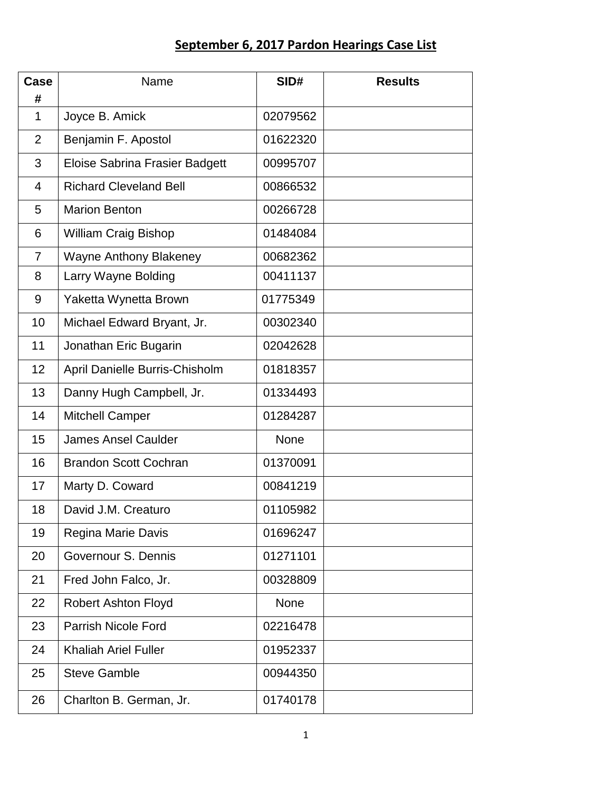## **September 6, 2017 Pardon Hearings Case List**

| Case<br>#      | Name                                  | SID#        | <b>Results</b> |
|----------------|---------------------------------------|-------------|----------------|
| 1              | Joyce B. Amick                        | 02079562    |                |
| $\overline{2}$ | Benjamin F. Apostol                   | 01622320    |                |
| 3              | <b>Eloise Sabrina Frasier Badgett</b> | 00995707    |                |
| 4              | <b>Richard Cleveland Bell</b>         | 00866532    |                |
| 5              | <b>Marion Benton</b>                  | 00266728    |                |
| 6              | <b>William Craig Bishop</b>           | 01484084    |                |
| $\overline{7}$ | <b>Wayne Anthony Blakeney</b>         | 00682362    |                |
| 8              | Larry Wayne Bolding                   | 00411137    |                |
| 9              | Yaketta Wynetta Brown                 | 01775349    |                |
| 10             | Michael Edward Bryant, Jr.            | 00302340    |                |
| 11             | Jonathan Eric Bugarin                 | 02042628    |                |
| 12             | April Danielle Burris-Chisholm        | 01818357    |                |
| 13             | Danny Hugh Campbell, Jr.              | 01334493    |                |
| 14             | <b>Mitchell Camper</b>                | 01284287    |                |
| 15             | <b>James Ansel Caulder</b>            | <b>None</b> |                |
| 16             | <b>Brandon Scott Cochran</b>          | 01370091    |                |
| 17             | Marty D. Coward                       | 00841219    |                |
| 18             | David J.M. Creaturo                   | 01105982    |                |
| 19             | Regina Marie Davis                    | 01696247    |                |
| 20             | Governour S. Dennis                   | 01271101    |                |
| 21             | Fred John Falco, Jr.                  | 00328809    |                |
| 22             | <b>Robert Ashton Floyd</b>            | <b>None</b> |                |
| 23             | <b>Parrish Nicole Ford</b>            | 02216478    |                |
| 24             | <b>Khaliah Ariel Fuller</b>           | 01952337    |                |
| 25             | <b>Steve Gamble</b>                   | 00944350    |                |
| 26             | Charlton B. German, Jr.               | 01740178    |                |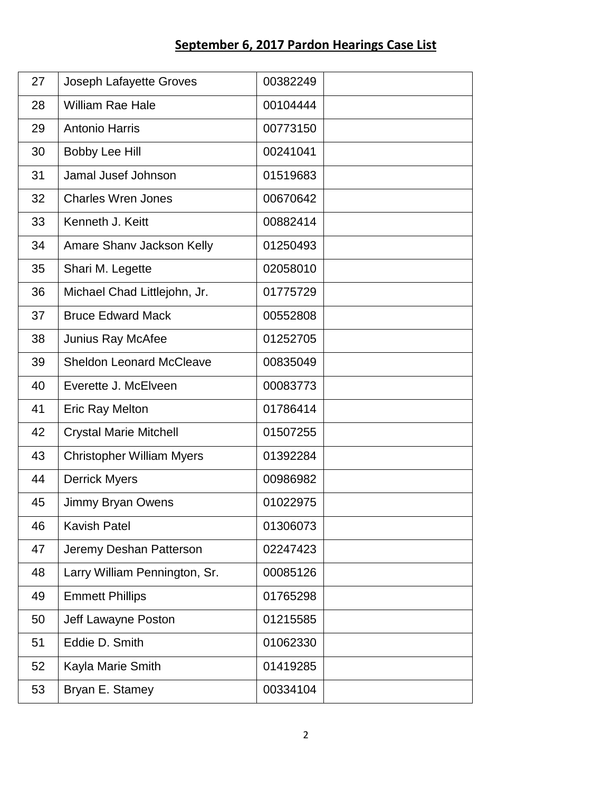## **September 6, 2017 Pardon Hearings Case List**

| 27 | <b>Joseph Lafayette Groves</b>   | 00382249 |
|----|----------------------------------|----------|
| 28 | <b>William Rae Hale</b>          | 00104444 |
| 29 | <b>Antonio Harris</b>            | 00773150 |
| 30 | <b>Bobby Lee Hill</b>            | 00241041 |
| 31 | Jamal Jusef Johnson              | 01519683 |
| 32 | <b>Charles Wren Jones</b>        | 00670642 |
| 33 | Kenneth J. Keitt                 | 00882414 |
| 34 | Amare Shany Jackson Kelly        | 01250493 |
| 35 | Shari M. Legette                 | 02058010 |
| 36 | Michael Chad Littlejohn, Jr.     | 01775729 |
| 37 | <b>Bruce Edward Mack</b>         | 00552808 |
| 38 | <b>Junius Ray McAfee</b>         | 01252705 |
| 39 | <b>Sheldon Leonard McCleave</b>  | 00835049 |
| 40 | Everette J. McElveen             | 00083773 |
| 41 | <b>Eric Ray Melton</b>           | 01786414 |
| 42 | <b>Crystal Marie Mitchell</b>    | 01507255 |
| 43 | <b>Christopher William Myers</b> | 01392284 |
| 44 | <b>Derrick Myers</b>             | 00986982 |
| 45 | Jimmy Bryan Owens                | 01022975 |
| 46 | <b>Kavish Patel</b>              | 01306073 |
| 47 | Jeremy Deshan Patterson          | 02247423 |
| 48 | Larry William Pennington, Sr.    | 00085126 |
| 49 | <b>Emmett Phillips</b>           | 01765298 |
| 50 | Jeff Lawayne Poston              | 01215585 |
| 51 | Eddie D. Smith                   | 01062330 |
| 52 | Kayla Marie Smith                | 01419285 |
| 53 | Bryan E. Stamey                  | 00334104 |